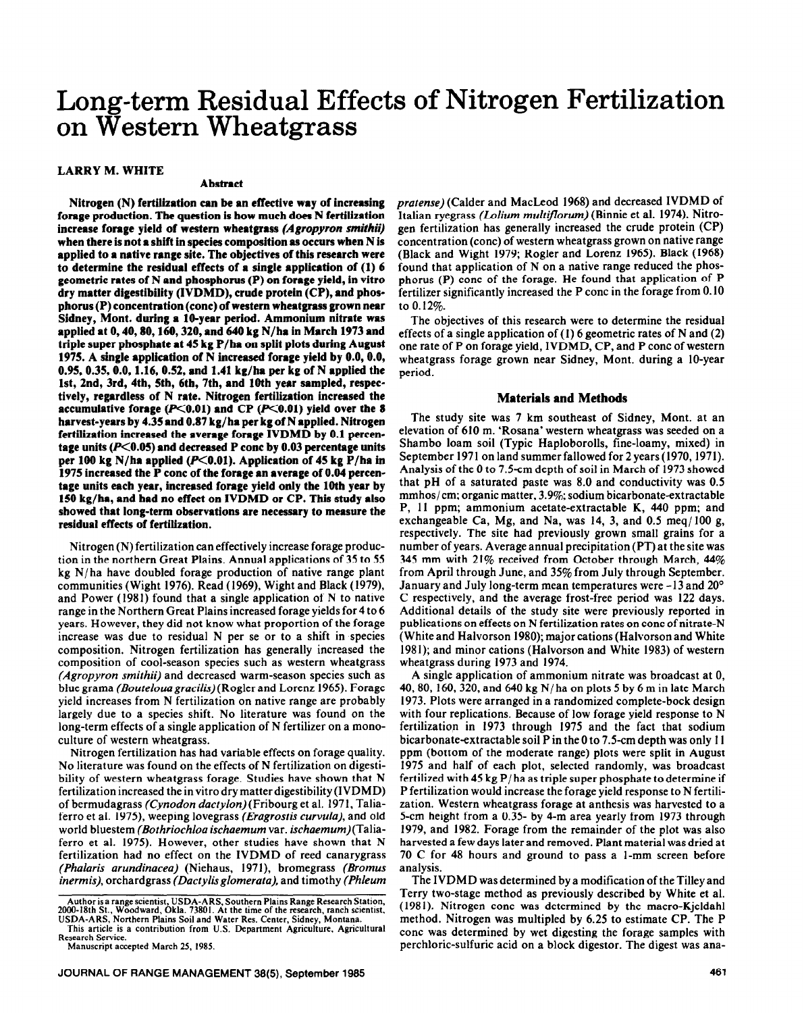# **Long-term Residual Effects of Nitrogen Fertilization on western Wheatgrass**

# **LARRY M. WHITE**

#### **Abstract**

**Nitrogen (N) fertilization can be an effective way of increasing forage production. The question is how much does N fertilization increase forage yield of western wheatgrass** *(Agropyron mnithti)*  **when there is not a shift in species composition as occurs when N is applied to a native range site. The objectives of this research were to determine the residual effects of a single application** of (1) *6*  **geometric rates of N and phosphorus (P) on forage yield, in vitro dry matter digestibility (IVDMD), crude protein (CP), and phosphorus (P) concentration (cone) of western wheatgrass grown near Sidney, Mont. during a lO-year period. Ammonium nitrate was applied at 0,40,80,160,320, and 640 kg N/ha in March 1973 and triple super phosphate at 45 kg P/ha on split plots during August 1975. A single application of N increased forage yield by 0.0, 0.0, 0.95, 0.35,0.0, 1.16, 0.52, and 1.41 kg/ha per kg of N applied the lst, 2nd, 3rd, 4th, Sth, 6th, 7th, and 10th year sampled, respectively, regardless of N rate. Nitrogen fertilization increased the**  accumulative forage  $(P<0.01)$  and CP  $(P<0.01)$  yield over the 8 **harvest-years by 4.35 and 0.87 kg/ha per kg of N applied. Nitrogen fertilization increased the average forage IVDMD by 0.1 percen**tage units (P<0.05) and decreased P conc by 0.03 percentage units per 100 kg N/ha applied (P<0.01). Application of 45 kg P/ha in **1975 increased the P cone of the forage an average of 0.04 percentage units each year, increased forage yield only the 10th year by 150 kg/ha, and had no effect on IVDMD or CP. This study also showed that long-term observations are necessary to measure the residual effects of fertilization.** 

**Nitrogen(N) fertilization can effectively increase forage production in the northern Great Plains. Annual applications of 35 to 55 kg N/ha have doubled forage production of native range plant communities (Wight 1976).** Read (1969), Wight and Black (1979) and Power (1981) found that a single application of N to native range in the Northern Great Plains increased forage yields for 4 to 6 years. However, they did not know what proportion of the forage increase was due to residual N per se or to a shift in species composition. Nitrogen fertilization has generally increased the composition of cool-season species such as western wheatgrass *(Agropyron smithii)* and decreased warm-season species such as blue grama *(Bouteloua gracilis)(* Rogler and Lorenz 1965). Forage yield increases from N fertilization on native range are probably largely due to a species shift. No literature was found on the long-term effects of a single application of N fertilizer on a monoculture of western wheatgrass.

Nitrogen fertilization has had variable effects on forage quality. No literature was found on the effects of N fertilization on digestibility of western wheatgrass forage. Studies have shown that N fertilization increased the in vitro dry matter digestibility (IVDMD) of bermudagrass *(Cynodon dactylon)* (Fribourg et al. 197 1, Taliaferro et al. 1975), weeping lovegrass *(Erugrostis curvulu),* and old world bluestem *(Bothriochloa ischaemum* var. ischoemum)(Taliaferro et al. 1975). However, other studies have shown that N fertilization had no effect on the IVDMD of reed canarygrass *(Phuluris arundinaceu)* (Niehaus, 1971), bromegrass *(Bromus inermis),* orchardgrass *(Dactylisglomerata),* and timothy *(Phleum* 

*pratense)* (Calder and MacLeod 1968) and decreased IVDMD of Italian ryegrass *(blium mult\$Jorum)* (Binnie et al. 1974). **Nitrogen** fertilization has generally increased the crude protein (CP) concentration (cone) of western wheatgrass grown on native range (Black and Wight 1979; Rogler and Lorenz 1965). Black (1968) found that application of N on a native range reduced the phosphorus (P) cone of the forage. He found that application of P fertilizer significantly increased the P cone in the forage from 0.10 to 0.12%.

The objectives of this research were to determine the residual effects of a single application of (I) 6 geometric rates of N and (2) one rate of P on forage yield, IVDMD, CP, and P cone of western wheatgrass forage grown near Sidney, Mont. during a IO-year period.

# **Materials and Methods**

The study site was 7 km southeast of Sidney, Mont. at an elevation of 610 m. 'Rosana' western wheatgrass was seeded on a Shambo loam soil (Typic Haploborolls, fine-loamy, mixed) in September 1971 on land summer fallowed for 2 years (1970,197l). Analysis of the 0 to 7.5-cm depth of soil in March of 1973 showed that pH of a saturated paste was 8.0 and conductivity was 0.5 mmhos/cm; organic matter, 3.9%; sodium bicarbonate-extractable P, 11 ppm; ammonium acetate-extractable K, 440 ppm: and exchangeable Ca, Mg, and Na, was  $14$ , 3, and 0.5 meq/100 g, respectively. The site had previously grown small grains for a number of years. Average annual precipitation (PT) at the site was 345 mm with  $21\%$  received from October through March, 44% from April through June, and 35% from July through September. January and July long-term mean temperatures were -13 and 20° C respectively, and the average frost-free period was 122 days. Additional details of the study site were previously reported in publications on effects on N fertilization rates on cone of nitrate-N (White and Halvorson 1980); major cations (Halvorson and White 1981); and minor cations (Halvorson and White 1983) of western wheatgrass during 1973 and 1974.

A single application of ammonium nitrate was broadcast at 0, 40, 80, 160, 320, and 640 kg N/ha on plots 5 by 6 m in late March 1973. Plots were arranged in a randomized complete-bock design with four replications. Because of low forage yield response to N fertilization in 1973 through 1975 and the fact that sodium bicarbonate-extractable soil Pin the 0 to 7.5-cm depth was only 11 ppm (bottom of the moderate range) plots were split in August 1975 and half of each plot, selected randomly, was broadcast fertilized with 45 kg P/ha as triple super phosphate to determine if P fertilization would increase the forage yield response to N fertilization. Western wheatgrass forage at anthesis was harvested to a S-cm height from a 0.35- by 4-m area yearly from 1973 through 1979, and 1982. Forage from the remainder of the plot was also harvested a few days later and removed. Plant material was dried at 70 C for 48 hours and ground to pass a l-mm screen before analysis.

The IVDMD was determined by a modification of the Tilley and Terry two-stage method as previously described by White et al. (1981). Nitrogen cone was determined by the macro-Kjeldahl method. Nitrogen was multipled by 6.25 to estimate CP. The P cone was determined by wet digesting the forage samples with perchloric-sulfuric acid on a block digestor. The digest was ana-

Author is a range scientist, USDA-ARS, Southern Plains Range Research Station,<br>2000-18th St., Woodward, Okla. 73801. At the time of the research, ranch scientist,<br>USDA-ARS, Northern Plains Soil and Water Res. Center, Sidne

This article is a contribution from U.S. Department Agriculture, Agricultura **Research Service.** 

**Manuscript accepted March 25, 1985.**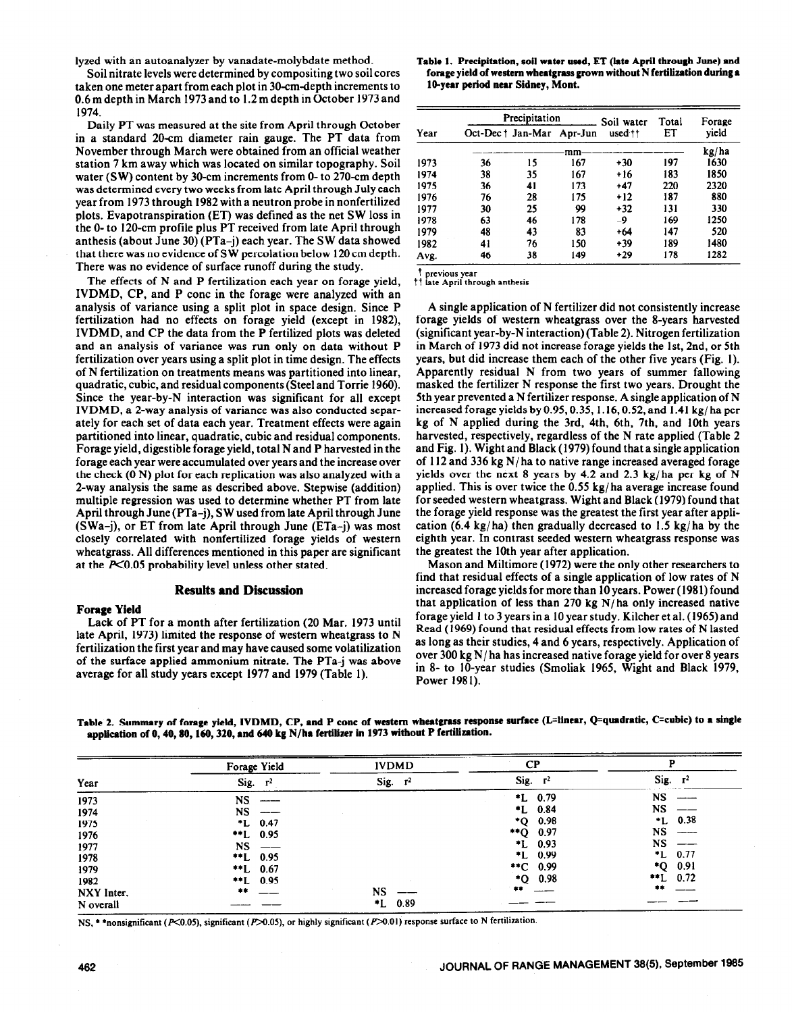Soil nitrate levels were determined by cornpositing two soil cores taken one meter apart from each plot in 30-cm-depth increments to 0.6 m depth in March 1973 and to 1.2 m depth in October 1973 and 1974.

Daily PT was measured at the site from April through October in a standard 20-cm diameter rain gauge. The PT data from November through March were obtained from an official weather station 7 km away which was located on similar topography. Soil water (SW) content by 3O-cm increments from 0- to 270-cm depth was determined every two weeks from late April through July each year from 1973 through 1982 with a neutron probe in nonfertilized plots. Evapotranspiration (ET) was defined as the net SW loss in the O-to 120-cm profile plus PT received from late April through anthesis (about June 30) (PTa-j) each year. The SW data showed that there was no evidence of S W percolation below 120 cm depth. There was no evidence of surface runoff during the study.

The effects of N and P fertilization each year on forage yield, IVDMD, CP, and P cone in the forage were analyzed with an analysis of variance using a split plot in space design. Since P fertilization had no effects on forage yield (except in 1982), IVDMD, and CP the data from the P fertilized plots was deleted and an analysis of variance was run only on data without P fertilization over years using a split plot in time design. The effects of N fertilization on treatments means was partitioned into linear, quadratic, cubic, and residual components (Steel and Torrie 1960). Since the year-by-N interaction was significant for all except IVDMD, a 2-way analysis of variance was also conducted separately for each set of data each year. Treatment effects were again partitioned into linear, quadratic, cubic and residual components. Forage yield, digestible forage yield, total N and P harvested in the forage each year were accumulated over years and the increase over the check (0 N) plot for each replication was also analyzed with a 2-way analysis the same as described above. Stepwise (addition) multiple regression was used to determine whether PT from late April through June (PTa-j), SW used from late April through June (SWa-j), or ET from late April through June (ETa-j) was most closely correlated with nonfertilized forage yields of western wheatgrass. All differences mentioned in this paper are significant at the  $P<0.05$  probability level unless other stated.

# **Results and Discussion**

#### **Forage Yield**

**Lack** of PT for a month after fertilization (20 Mar. 1973 until late April, 1973) limited the response of western wheatgrass to N fertilization the first year and may have caused some volatilization of the surface applied ammonium nitrate. The PTa-j was above average for all study years except 1977 and 1979 (Table 1).

lyzed with an autoanalyzer by vanadate-molybdate method. **Table 1. Precipitation, soil water used,** ET **(late April through** June) **and forage yield of western wheatgrass grown without N fertilization during a l&year period near Sidney, Mont.** 

| Year | Precipitation |                           |     | Soil water         | Total | Forage |
|------|---------------|---------------------------|-----|--------------------|-------|--------|
|      |               | Oct-Dec   Jan-Mar Apr-Jun |     | used <sup>++</sup> | ET    | vield  |
|      |               |                           | mm  |                    |       | kg/ha  |
| 1973 | 36            | 15                        | 167 | $+30$              | 197   | 1630   |
| 1974 | 38            | 35                        | 167 | $+16$              | 183   | 1850   |
| 1975 | 36            | 41                        | 173 | $+47$              | 220   | 2320   |
| 1976 | 76            | 28                        | 175 | +12                | 187   | 880    |
| 1977 | 30            | 25                        | 99  | $+32$              | 131   | 330    |
| 1978 | 63            | 46                        | 178 | -9                 | 169   | 1250   |
| 1979 | 48            | 43                        | 83  | +64                | 147   | 520    |
| 1982 | 41            | 76                        | 150 | $+39$              | 189   | 1480   |
| Avg. | 46            | 38                        | 149 | $+29$              | 178   | 1282   |

previous year

**tt late April through anthesis** 

A single application of N fertilizer did not consistently increase forage yields of western wheatgrass over the g-years harvested (significant year-by-N interaction) (Table 2). Nitrogen fertilization in March of 1973 did not increase forage yields the lst, 2nd, or 5th years, but did increase them each of the other five years (Fig. 1). Apparently residual N from two years of summer fallowing masked the fertilizer N response the first two years. Drought the 5th year prevented a N fertilizer response. A single application of N increased forage yields by 0.95,0.35, 1.16,0.52, and 1.41 kg/ ha per kg of N applied during the 3rd, 4th, 6th, 7th, and 10th years harvested, respectively, regardless of the N rate applied (Table 2 and Fig. 1). Wight and Black (1979) found that a single application of 112 and 336 kg N/ha to native range increased averaged forage yields over the next 8 years by 4.2 and 2.3 kg/ha per kg of N applied. This is over twice the 0.55 kg/ ha average increase found for seeded western wheatgrass. Wight and Black (1979) found that the forage yield response was the greatest the first year after application (6.4 kg/ha) then gradually decreased to 1.5 kg/ha by the eighth year. In contrast seeded western wheatgrass response was the greatest the 10th year after application.

Mason and Miltimore (1972) were the only other researchers to find that residual effects of a single application of low rates of N increased forage yields for more than 10 years. Power (198 1) found that application of less than 270 kg  $N/ha$  only increased native forage yield 1 to 3 years in a 10 year study. Kilcher et al. (1965) and Read (1969) found that residual effects from low rates of N lasted as long as their studies, 4 and 6 years, respectively. Application of over 300 kg N/ ha has increased native forage yield for over 8 years in 8- to IO-year studies (Smoliak 1965, Wight and Black 1979, Power 1981).

**Table 2. Summary of forage yield, IVDMD, CP, and P cone of western wheatgrass response surface (L=linear, Q=quadrntie, C=cublc) to a single application of 0,40,80,160,320, and 640 kg N/ha fertilizer in 1973 without P fertilization.** 

|            | Forage Yield  | <b>IVDMD</b> | <b>CP</b>         |                     |  |
|------------|---------------|--------------|-------------------|---------------------|--|
| Year       | Sig.<br>$r^2$ | Sig. $r^2$   | Sig. $r^2$        | $Sig.$ $r^2$        |  |
| 1973       | NS            |              | $*L$ 0.79         | <b>NS</b>           |  |
| 1974       | NS            |              | $+L$ 0.84         | <b>NS</b>           |  |
| 1975       | $^*L$ 0.47    |              | $*$ O 0.98        | $+L$ 0.38           |  |
| 1976       | $*L$ 0.95     |              | $\bullet$<br>0.97 | NS                  |  |
| 1977       | NS.           |              | $+L$ 0.93         | <b>NS</b>           |  |
| 1978       | $*L$ 0.95     |              | *L 0.99           | $^{\bullet}$ L 0.77 |  |
| 1979       | $*L$ 0.67     |              | **C $0.99$        | $*$ O 0.91          |  |
| 1982       | $*L$ 0.95     |              | $*Q$ 0.98         | $+L$ 0.72           |  |
| NXY Inter. | $\pm \pm$     | NS           | **                | 事本                  |  |
| N overall  |               | $*L$ 0.89    |                   |                     |  |

NS, \* \*nonsignificant (P<0.05), significant (P>0.05), or highly significant (P>0.01) response surface to N fertilization.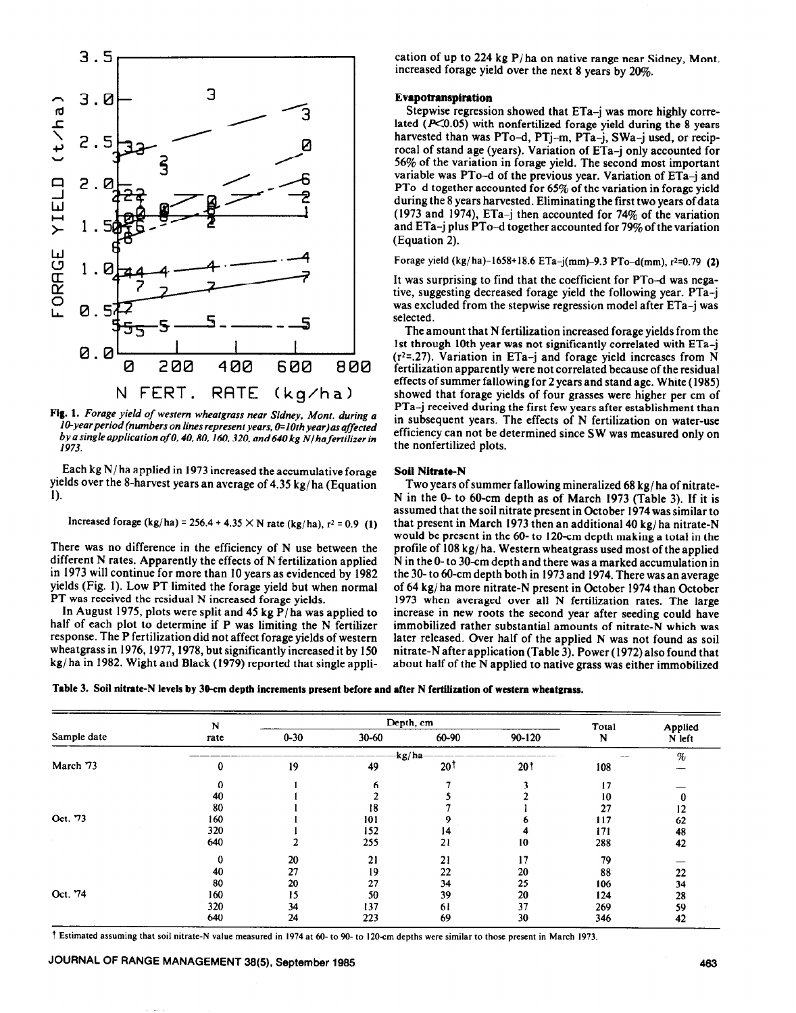

**Fig. 1.** *Forage yield of western wheatgrass near Sidney, Mont. during a IO-yearperiod (numbers on lines represent years, O=lOthyear)as affected by a single application of 0,40,80, 160.320, and 640 kg N/hafertilizer in 1973.* 

Each kg N/ha applied in *I973* increased the accumulative forage yields over the 8-harvest years an average of 4.35 kg/ ha (Equation 1).

increased forage (kg/ha) = 256.4 + 4.35 
$$
\times
$$
 N rate (kg/ha), r<sup>2</sup> = 0.9 (1)

There was no difference in the efficiency of N use between the different N rates. Apparently the effects of N fertilization applied in 1973 will continue for more than 10 years as evidenced by 1982 yields (Fig. 1). Low PT limited the forage yield but when normal PT was received the residual N increased forage yields.

In August 1975, plots were split and 45 kg P/ha was applied to half of each plot to determine if P was limiting the N fertilizer response. The P fertilization did not affect forage yields of western wheatgrass in 1976, 1977, 1978, but significantly increased it by 150 kg/ ha in 1982. Wight and Black (1979) reported that single application of up to 224 kg P/ha on native range near Sidney, Mont. increased forage yield over the next 8 years by 20%.

# **Evapotranspiration**

Stepwise regression **showed that** ETa-j was more highly correlated  $(X<sub>0.05</sub>)$  with nonfertilized forage yield during the 8 years harvested than was PTo-d, PTj-m, PTa-j, SWa-j used, or reciprocal of stand age (years). Variation of ETa-j only accounted for 56% of the variation in forage yield. The second most important variable was PTo-d of the previous year. Variation of ETa-j and PTo-d together accounted for  $65\%$  of the variation in forage yield during the 8 years harvested. Eliminating the first two years of data (1973 and 1974), ETa-j then accounted for 74% of the variation and ETa-j plus PTo-d together accounted for 79% of the variation (Equation 2).

Forage yield (kg/ha)-1658+18.6 ETa-j(mm)-9.3 PTo-d(mm),  $r^2=0.79$  (2)

It was surprising to find that the coefficient for PTo-d was negative, suggesting decreased forage yield the following year. PTa-j was excluded from the stepwise regression model after ETa-j was selected.

The amount that N fertilization increased forage yields from the 1st through 10th year was not significantly correlated with ETa-j  $(r^2=0.27)$ . Variation in ETa-j and forage yield increases from N fertilization apparently were not correlated because of the residual effects of summer fallowing for 2 years and stand age. White (1985) showed that forage yields of four grasses were higher per cm of PTa-j received during the first few years after establishment than in subsequent years. The effects of N fertilization on water-use efficiency can not be determined since SW was measured only on the nonfertilized plots.

# **Soil** Nitrate-N

Two years of summer fallowing mineralized 68 kg/ ha of nitrate-N in the 0- to 60-cm depth as of March 1973 (Table 3). If it is assumed that the soil nitrate present in October 1974 was similar to that present in March 1973 then an additional 40 kg/ ha nitrate-N would be present in the 60- to 120-cm depth making a total in the profile of 108 kg/ ha. Western wheatgrass used most of the applied N in the O-to 30-cm depth and there was a marked accumulation in the 30-to 60-cm depth both in 1973 and 1974. There was an average of 64 kg/ ha more nitrate-N present in October 1974 than October 1973 when averaged over all N fertilization rates. The large increase in new roots the second year after seeding could have immobilized rather substantial amounts of nitrate-N which was later released. Over half of the applied N was not found as soil nitrate-N after application (Table 3). Power (1972) also found that about half of the N applied to native grass was either immobilized

Table 3. Soil nitrate-N levels **by 3O-cm depth increments present before and after N fertilization of western wheatgrass.** 

|             | N<br>rate | Depth, cm |           |                |                 | Total | Applied |
|-------------|-----------|-----------|-----------|----------------|-----------------|-------|---------|
| Sample date |           | $0 - 30$  | $30 - 60$ | 60-90          | $90 - 120$      | N     | N left  |
|             |           |           |           | kg/ha-         |                 |       | $\%$    |
| March 73    | 0         | 19        | 49        | $20^{\dagger}$ | 20 <sup>†</sup> | 108   |         |
|             |           |           |           |                |                 | 17    |         |
|             | 40        |           |           |                |                 | 10    | 0       |
|             | 80        |           | 18        |                |                 | 27    | 12      |
| Oct. 73     | 160       |           | 101       |                |                 | 117   | 62      |
|             | 320       |           | 152       | 14             |                 | 171   | 48      |
|             | 640       |           | 255       | 21             | 10              | 288   | 42      |
|             | 0         | 20        | 21        | 21             | 17              | 79    |         |
|             | 40        | 27        | 19        | 22             | 20              | 88    | 22      |
|             | 80        | 20        | 27        | 34             | 25              | 106   | 34      |
| Oct. 74     | 160       | 15        | 50        | 39             | 20              | 124   | 28      |
|             | 320       | 34        | 137       | 61             | 37              | 269   | 59      |
|             | 640       | 24        | 223       | 69             | 30              | 346   | 42      |

t **Estimated assuming that soil nitrate-N value measured in 1974 at 60-to 90- to 120sm depths were similar to those present in March 1973.**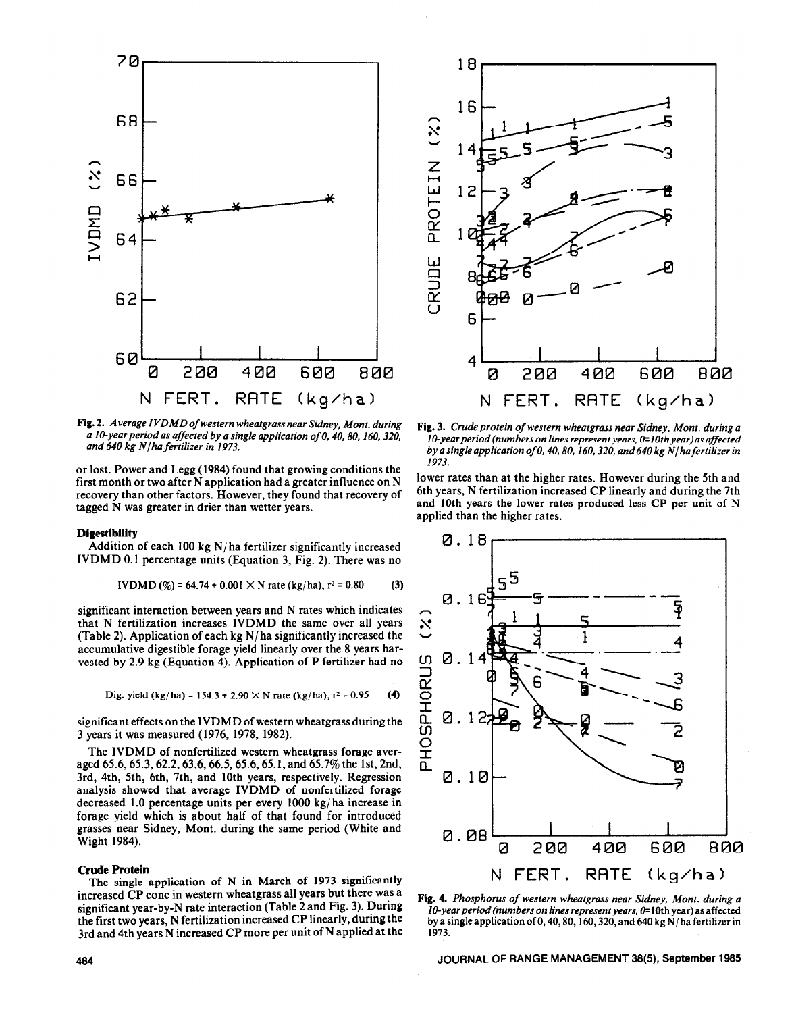

Fig. 2. *Average IVDMD of western wheatgrass near Sidney, Mont. during a I@year period as affected by a single application of 0,40.80. 160.320, and 640 kg NJha fertilizer in 1973.* 

or lost. Power and Legg (1984) found that growing conditions the first month or two after N application had a greater influence on N recovery than other factors. However, they found that recovery of tagged N was greater in drier than wetter years.

#### **Digestibility**

Addition of each 100 kg N/ha fertilizer significantly increased IVDMD 0.1 percentage units (Equation 3, Fig. 2). There was no

$$
IVDMD (\%) = 64.74 + 0.001 \times N \text{ rate } (kg/ha), r^2 = 0.80 \tag{3}
$$

significant interaction between years and N rates which indicates that N fertilization increases IVDMD the same over all years (Table 2). Application of each kg N/ha significantly increased the accumulative digestible forage yield linearly over the 8 years harvested by 2.9 kg (Equation 4). Application of P fertilizer had no

$$
Dig. yield (kg/ha) = 154.3 + 2.90 \times N rate (kg/ha), r2 = 0.95
$$
 (4)

significant effects on the IVDMD of western wheatgrass during the 3 years it was measured (1976, 1978, 1982).

The IVDMD of nonfertilized western wheatgrass forage averaged 65.6,65.3,62.2,63.6,66.5,65.6,65.1, and 65.7% the lst, 2nd, 3rd, 4th, 5th, 6th, 7th, and 10th years, respectively. Regression analysis showed that average IVDMD of nonfertilized forage decreased 1.0 percentage units per every 1000 kg/ ha increase in forage yield which is about half of that found for introduced grasses near Sidney, Mont. during the same period (White and Wight 1984).

#### **Crude Protein**

The single application of N in March of 1973 significantly increased CP cone in western wheatgrass all years but there was a significant year-by-N rate interaction (Table 2 and Fig. 3). During the first two years, N fertilization increased CP linearly, during the 3rd and 4th years N increased CP more per unit of N applied at the



Fig. 3. Crude protein of western wheatgrass near Sidney, Mont. during a *1* O-year *period (numbers on lines represent years, O=lOth year)as affected by a single application of 0,40,80,160,320, and 640 kg N/ hafertilizer in*  1973.

lower rates than at the higher rates. However during the 5th and 6th years, N fertilization increased CP linearly and during the 7th and 10th years the lower rates produced less CP per unit of N applied than the higher rates.



Fig. 4. *Phosphorus of western wheatgrass near Sidney, Mont. during a lO-year period (numbers on lines represent years, 0*=10th year) as affected by a single application of 0,40,80, 160, 320, and 640 kg  $N/ha$  fertilizer in 1973.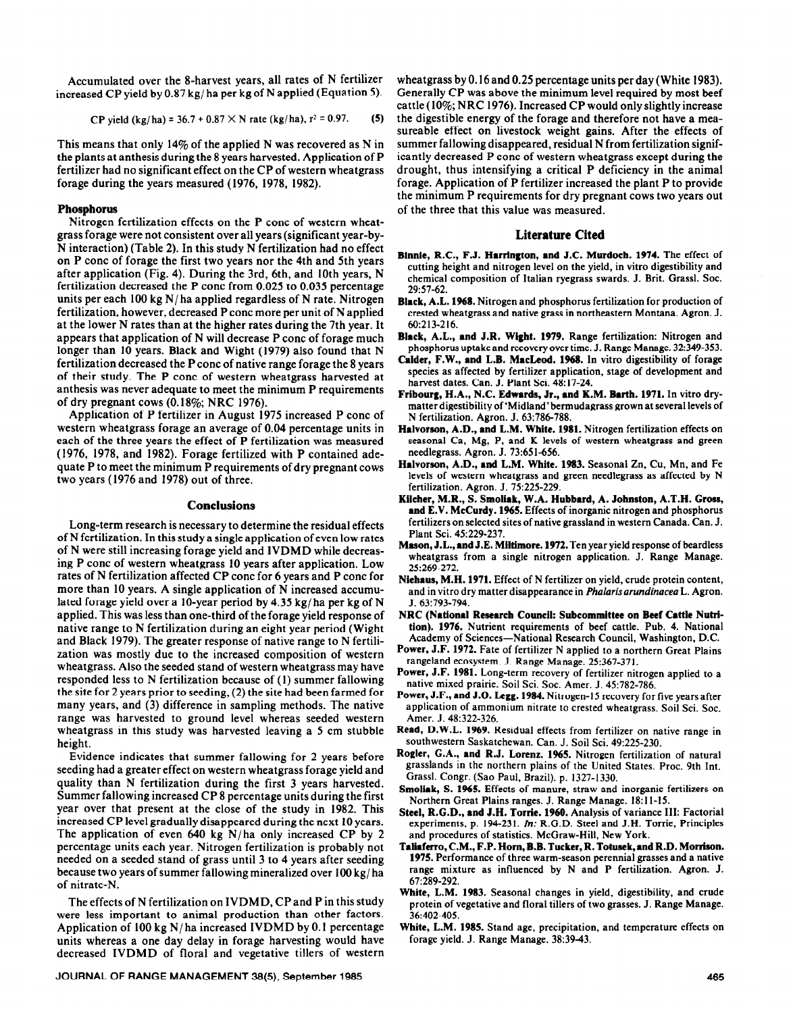Accumulated over the 8-harvest years, all rates of N fertilizer increased CP yield by 0.87 kg/ ha per kg of N applied (Equation 5).

CP yield 
$$
(kg/ha) = 36.7 + 0.87 \times N
$$
 rate  $(kg/ha)$ , r<sup>2</sup> = 0.97. (5)

This means that only 14% of the applied N was recovered as N in the plants at anthesis during the 8 years harvested. Application of P fertilizer had no significant effect on the CP of western wheatgrass forage during the years measured (1976, 1978, 1982).

#### **Phosphorus**

Nitrogen fertilization effects on the P cone of western wheatgrass forage were not consistent over all years (significant year-by-N interaction) (Table 2). In this study N fertilization had no effect on P cone of forage the first two years nor the 4th and 5th years after application (Fig. 4). During the 3rd, 6th, and 10th years, N fertilization decreased the P cone from 0.025 to 0.035 percentage units per each 100 kg  $N/ha$  applied regardless of N rate. Nitrogen fertilization, however, decreased P cone more per unit of N applied at the lower N rates than at the higher rates during the 7th year. It appears that application of N will decrease P cone of forage much longer than 10 years. Black and Wight (1979) also found that N fertilization decreased the P cone of native range forage the 8 years of their study. The P cone of western wheatgrass harvested at anthesis was never adequate to meet the minimum P requirements of dry pregnant cows (0.18%; NRC 1976).

Application of P fertilizer in August 1975 increased P cone of western wheatgrass forage an average of 0.04 percentage units in each of the three years the effect of P fertilization was measured (1976, 1978, and 1982). Forage fertilized with P contained adequate P to meet the minimum P requirements of dry pregnant cows two years (1976 and 1978) out of three.

#### **Conclusions**

Long-term research is necessary to determine the residual effects of N fertilization. In this study a single application of even low rates of N were still increasing forage yield and IVDMD while decreasing P cone of western wheatgrass 10 years after application. Low rates of N fertilization affected CP cone for 6 years and P cone for more than 10 years. A single application of N increased accumulated forage yield over a IO-year period by 4.35 kg/ ha per kg of N applied. This was less than one-third of the forage yield response of native range to N fertilization during an eight year period (Wight and Black 1979). The greater response of native range to N fertilization was mostly due to the increased composition of western wheatgrass. Also the seeded stand of western wheatgrass may have responded less to N fertilization because of (1) summer fallowing the site for 2 years prior to seeding, (2) the site had been farmed for many years, and (3) difference in sampling methods. The native range was harvested to ground level whereas seeded western wheatgrass in this study was harvested leaving a 5 cm stubble height.

Evidence indicates that summer fallowing for 2 years before seeding had a greater effect on western wheatgrass forage yield and quality than N fertilization during the first 3 years harvested. Summer fallowing increased CP 8 percentage units during the first year over that present at the close of the study in 1982. This increased CP level gradually disappeared during the next 10 years. The application of even 640 kg  $N/ha$  only increased CP by 2 percentage units each year. Nitrogen fertilization is probably not needed on a seeded stand of grass until 3 to 4 years after seeding because two years of summer fallowing mineralized over 100 kg/ ha of nitrate-N.

The effects of N fertilization on IVDMD, CP and P in this study were less important to animal production than other factors. Application of 100 kg N/ha increased IVDMD by 0.1 percentage units whereas a one day delay in forage harvesting would have decreased IVDMD of floral and vegetative tillers of western

JOURNAL OF RANGE MANAGEMENT 38(5), September 1985 **485** 

wheatgrass by 0.16 and 0.25 percentage units per day (White 1983). Generally CP was above the minimum level required by most beef cattle (10%; NRC 1976). Increased CP would only slightly increase the digestible energy of the forage and therefore not have a measureable effect on livestock weight gains. After the effects of summer fallowing disappeared, residual N from fertilization significantly decreased P cone of western wheatgrass except during the drought, thus intensifying a critical P deficiency in the animal forage. Application of P fertilizer increased the plant P to provide the minimum P requirements for dry pregnant cows two years out of the three that this value was measured.

# **Literature Cited**

- **Binnie, R.C., F.J. Harrington, and J.C. Murdoch. 1974.** The effect of cutting height and nitrogen level on the yield, in vitro digestibility and chemical composition of Italian ryegrass swards. J. Brit. Grassl. Soc. 2957-62.
- Black, A.L. 1968. Nitrogen and phosphorus fertilization for production of crested wheatgrass and native grass in northeastern Montana. Agron. J. 60:213-216.
- Black, A.L., and J.R. **Wight. 1979.** Range fertilization: Nitrogen and phosphorus uptake and **recovery over** time. J. Range Manage. 32349-353.
- **Cnlder, F.W.,** and **L.B. MacLeod. 1968.** In vitro digestibility of forage species as affected by fertilizer application, stage of development and harvest dates. Can. J. Plant Sci. 48: 17-24.
- **Fribourg, HA., N.C. Edwards, Jr., and K.M. Barth. 1971.** In vitro drymatter digestibility of'Midland'bermudagrass grown at several levels of N fertilization. Agron. J. 63:786-788.
- **Halvorson, A.D., and L.M. White. 1981.** Nitrogen fertilization effects on seasonal Ca, Mg, P, and K levels of western wheatgrass and green needlegrass. Agron. J. 73:651-656.
- **Halvorson, A.D., and L.M. White. 1983.** Seasonal Zn, Cu, Mn, and Fe levels of western wheatgrass and green needlegrass as affected by N fertilization. Agron. J. 75:225-229.
- **Kilchcr, M.R., S. Smoliak, W.A. Hubbard, A. Johnston, A.T.H. Gross, and E.V. McCurdy. 1965.** Effects of inorganic nitrogen and phosphorus fertilizers on selected sites of native grassland in western Canada. Can. J. Plant Sci. 45:229-237.
- Mason, J.L., and J.E. Miltimore. 1972. Ten year yield response of beardless wheatgrass from a single nitrogen application. J. Range Manage. 25269-272.
- **Niehaus, M.H. 1971.** Effect of N fertilizer on yield, crude protein content, and in vitro dry matter disappearance in Pholaris *arundinaceu* L. Agron. J. 63:793-794.
- NRC **(National Research Council: Subcommittee on Beef Cattle Nutrftion). 1976.** Nutrient requirements of beef cattle. Pub. 4. National Academy of Sciences-National Research Council, Washington, D.C.
- **Power,** J.F. 1972. Fate of fertilizer N applied to a northern Great Plains rangeland ecosystem. J. Range Manage. 25:367-371.
- **Power, J.F. 1981.** Long-term recovery of fertilizer nitrogen applied to a native mixed prairie. Soil Sci. Sot. Amer. J. 45:782-786.
- Power, J.F., and J.O. Legg. 1984. Nitrogen-15 recovery for five years after application of ammonium nitrate to crested wheatgrass. Soil Sci. Sot. Amer. J. 48:322-326.
- **Read, D.W.L. 1969.** Residual effects from fertilizer on native range in southwestern Saskatchewan. Can. J. Soil Sci. 49:225-230.
- **Rogler, G.A., and** R.J. Lorenz. **1%5.** Nitrogen fertilization of natural grasslands in the northern plains of the United States. Proc. 9th Int. Crass]. Congr. (Sao Paul, Brazil). p. 1327-1330.
- **Smoliak, S. 1965.** Effects of manure, straw and inorganic fertilizers on Northern Great Plains ranges. J. Range Manage. 1611-15.
- **Steel. R.G.D..** and **J.H. Torrie. 1960.** Analvsis of variance III: Factorial experiments, p. 194-231. *In:* R.G.D. Steel and J.H. Torrie, Principles and procedures of statistics. McGraw-Hill, New York.
- **Taliaferro, C.M., F.P. Horn, B.B. Tucker, R. Totusek, and R.D. Morrison. 1975.** Performance of three warm-season perennial grasses and a native range mixture as influenced by N and P fertilization. Agron. J. 67:289-292.
- **White, L.M. 1983.** Seasonal changes in yield, digestibility, and crude protein of vegetative and floral tillers of two grasses. J. Range Manage. 36402-405.
- **White, L.M. 1985.** Stand age, precipitation, and temperature effects on forage yield. J. Range Manage. 38:3943.